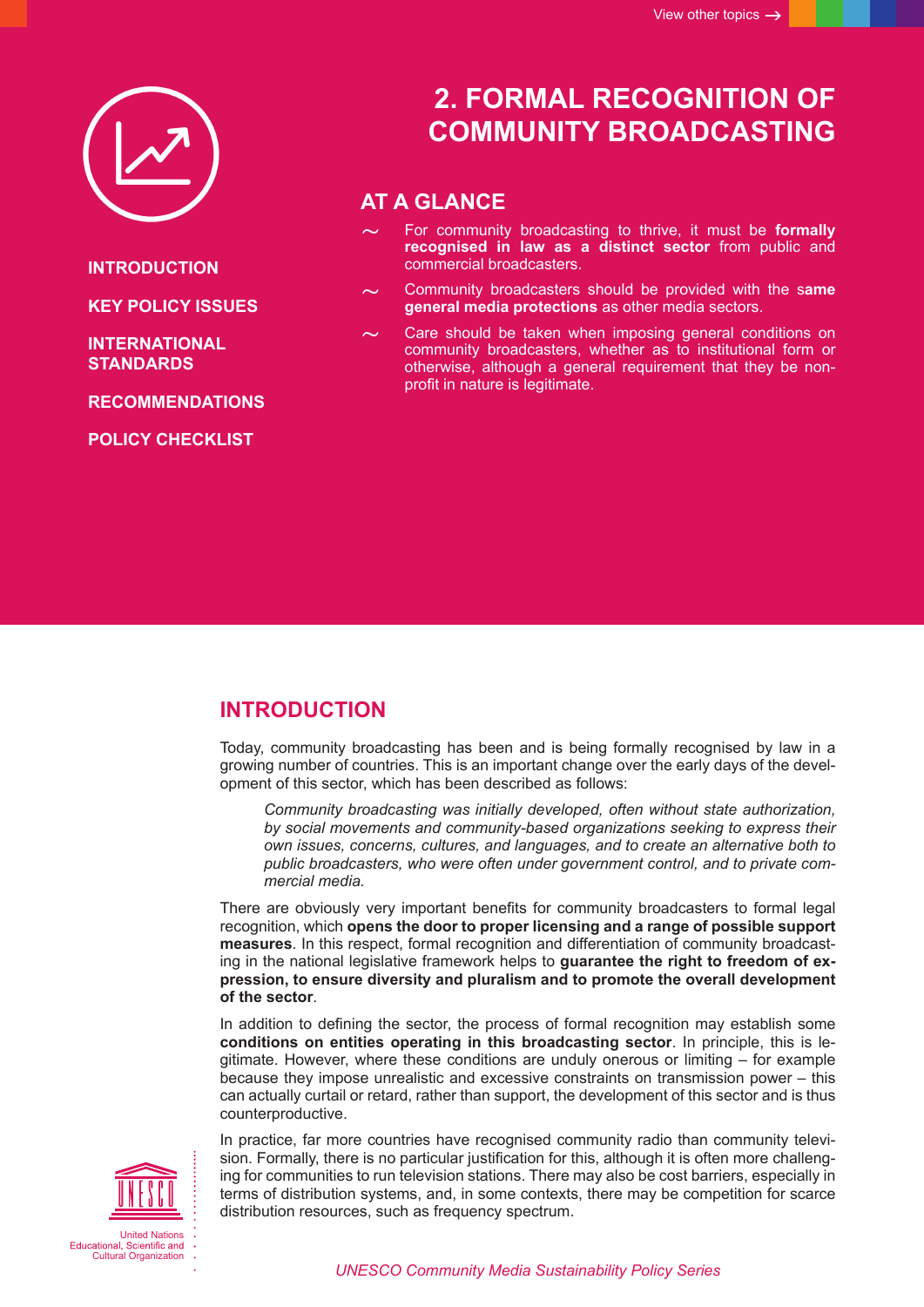

**INTRODUCTION**

**KEY POLICY ISSUES**

**[INTERNATIONAL](#page-2-0)  [STANDARDS](#page-2-0)**

**[RECOMMENDATIONS](#page-2-0)**

**[POLICY CHECKLIST](#page-3-0)**

# **2. FORMAL RECOGNITION OF COMMUNITY BROADCASTING**

## **AT A GLANCE**

- For community broadcasting to thrive, it must be **formally recognised in law as a distinct sector** from public and commercial broadcasters.
- ~ Community broadcasters should be provided with the s**ame general media protections** as other media sectors.
- Care should be taken when imposing general conditions on community broadcasters, whether as to institutional form or otherwise, although a general requirement that they be nonprofit in nature is legitimate.

### **INTRODUCTION**

Today, community broadcasting has been and is being formally recognised by law in a growing number of countries. This is an important change over the early days of the development of this sector, which has been described as follows:

*Community broadcasting was initially developed, often without state authorization, by social movements and community-based organizations seeking to express their own issues, concerns, cultures, and languages, and to create an alternative both to public broadcasters, who were often under government control, and to private commercial media.* 

There are obviously very important benefits for community broadcasters to formal legal recognition, which **opens the door to proper licensing and a range of possible support measures**. In this respect, formal recognition and differentiation of community broadcasting in the national legislative framework helps to **guarantee the right to freedom of expression, to ensure diversity and pluralism and to promote the overall development of the sector**.

In addition to defining the sector, the process of formal recognition may establish some **conditions on entities operating in this broadcasting sector**. In principle, this is legitimate. However, where these conditions are unduly onerous or limiting – for example because they impose unrealistic and excessive constraints on transmission power – this can actually curtail or retard, rather than support, the development of this sector and is thus counterproductive.



In practice, far more countries have recognised community radio than community television. Formally, there is no particular justification for this, although it is often more challenging for communities to run television stations. There may also be cost barriers, especially in terms of distribution systems, and, in some contexts, there may be competition for scarce distribution resources, such as frequency spectrum.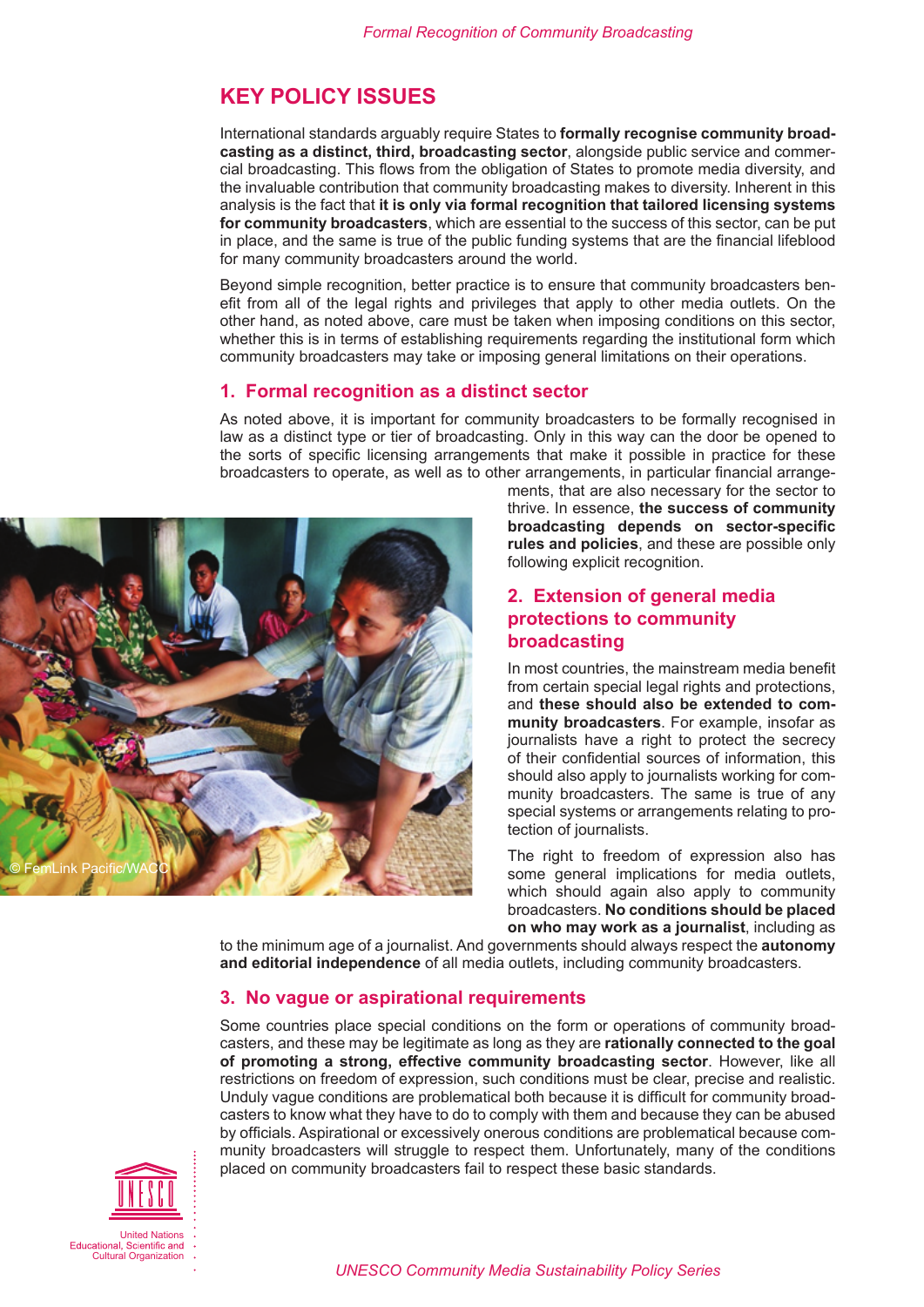## **KEY POLICY ISSUES**

International standards arguably require States to **formally recognise community broadcasting as a distinct, third, broadcasting sector**, alongside public service and commercial broadcasting. This flows from the obligation of States to promote media diversity, and the invaluable contribution that community broadcasting makes to diversity. Inherent in this analysis is the fact that **it is only via formal recognition that tailored licensing systems for community broadcasters**, which are essential to the success of this sector, can be put in place, and the same is true of the public funding systems that are the financial lifeblood for many community broadcasters around the world.

Beyond simple recognition, better practice is to ensure that community broadcasters benefit from all of the legal rights and privileges that apply to other media outlets. On the other hand, as noted above, care must be taken when imposing conditions on this sector, whether this is in terms of establishing requirements regarding the institutional form which community broadcasters may take or imposing general limitations on their operations.

#### **1. Formal recognition as a distinct sector**

As noted above, it is important for community broadcasters to be formally recognised in law as a distinct type or tier of broadcasting. Only in this way can the door be opened to the sorts of specific licensing arrangements that make it possible in practice for these broadcasters to operate, as well as to other arrangements, in particular financial arrange-



ments, that are also necessary for the sector to thrive. In essence, **the success of community broadcasting depends on sector-specific rules and policies**, and these are possible only following explicit recognition.

### **2. Extension of general media protections to community broadcasting**

In most countries, the mainstream media benefit from certain special legal rights and protections, and **these should also be extended to community broadcasters**. For example, insofar as journalists have a right to protect the secrecy of their confidential sources of information, this should also apply to journalists working for community broadcasters. The same is true of any special systems or arrangements relating to protection of journalists.

The right to freedom of expression also has some general implications for media outlets, which should again also apply to community broadcasters. **No conditions should be placed on who may work as a journalist**, including as

to the minimum age of a journalist. And governments should always respect the **autonomy and editorial independence** of all media outlets, including community broadcasters.

#### **3. No vague or aspirational requirements**

Some countries place special conditions on the form or operations of community broadcasters, and these may be legitimate as long as they are **rationally connected to the goal of promoting a strong, effective community broadcasting sector**. However, like all restrictions on freedom of expression, such conditions must be clear, precise and realistic. Unduly vague conditions are problematical both because it is difficult for community broadcasters to know what they have to do to comply with them and because they can be abused by officials. Aspirational or excessively onerous conditions are problematical because community broadcasters will struggle to respect them. Unfortunately, many of the conditions placed on community broadcasters fail to respect these basic standards.

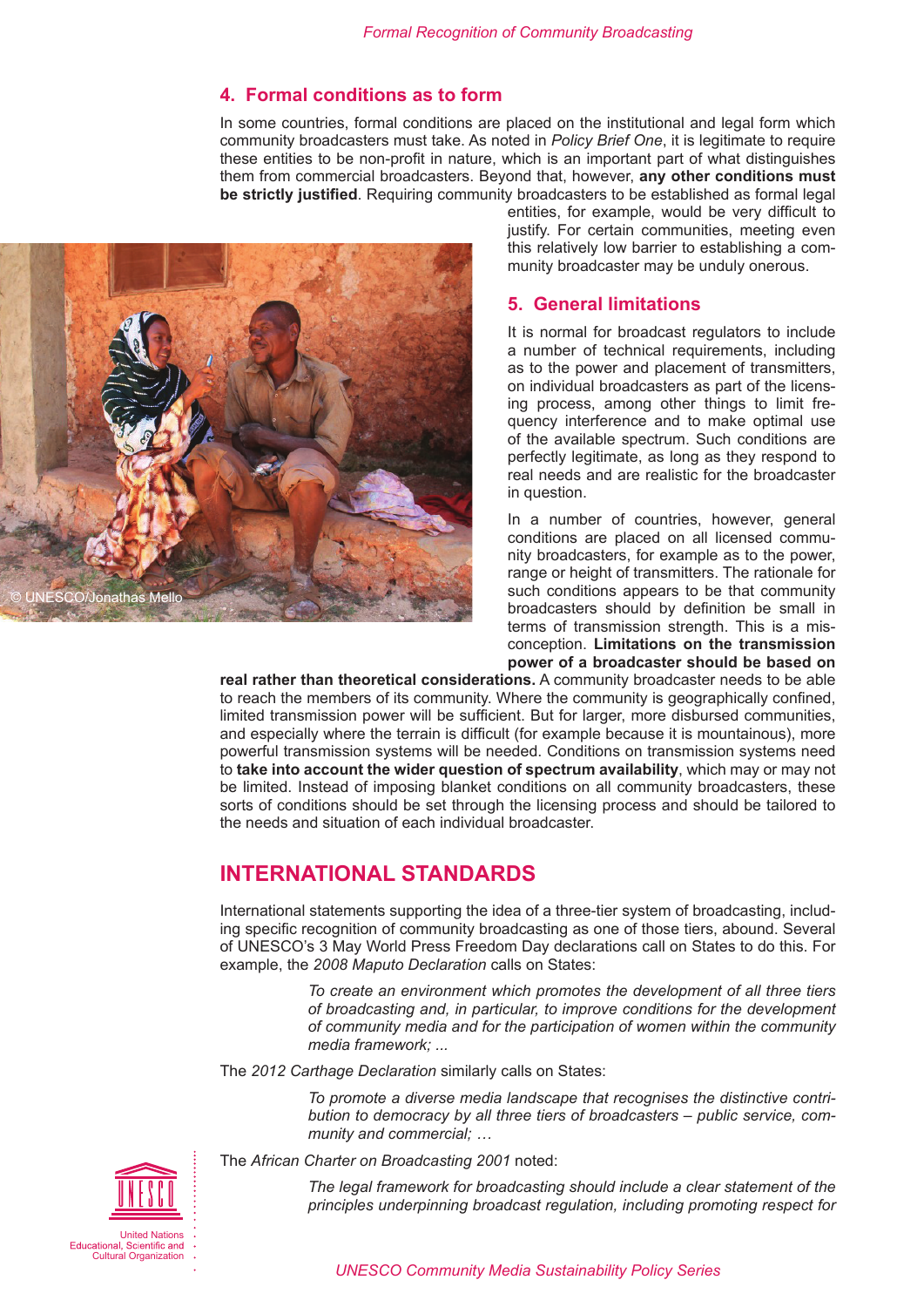### **4. Formal conditions as to form**

In some countries, formal conditions are placed on the institutional and legal form which community broadcasters must take. As noted in *Policy Brief One*, it is legitimate to require these entities to be non-profit in nature, which is an important part of what distinguishes them from commercial broadcasters. Beyond that, however, **any other conditions must be strictly justified**. Requiring community broadcasters to be established as formal legal

<span id="page-2-0"></span>

entities, for example, would be very difficult to justify. For certain communities, meeting even this relatively low barrier to establishing a community broadcaster may be unduly onerous.

### **5. General limitations**

It is normal for broadcast regulators to include a number of technical requirements, including as to the power and placement of transmitters, on individual broadcasters as part of the licensing process, among other things to limit frequency interference and to make optimal use of the available spectrum. Such conditions are perfectly legitimate, as long as they respond to real needs and are realistic for the broadcaster in question.

In a number of countries, however, general conditions are placed on all licensed community broadcasters, for example as to the power, range or height of transmitters. The rationale for such conditions appears to be that community broadcasters should by definition be small in terms of transmission strength. This is a misconception. **Limitations on the transmission power of a broadcaster should be based on** 

**real rather than theoretical considerations.** A community broadcaster needs to be able to reach the members of its community. Where the community is geographically confined, limited transmission power will be sufficient. But for larger, more disbursed communities, and especially where the terrain is difficult (for example because it is mountainous), more powerful transmission systems will be needed. Conditions on transmission systems need to **take into account the wider question of spectrum availability**, which may or may not be limited. Instead of imposing blanket conditions on all community broadcasters, these sorts of conditions should be set through the licensing process and should be tailored to the needs and situation of each individual broadcaster.

# **INTERNATIONAL STANDARDS**

International statements supporting the idea of a three-tier system of broadcasting, including specific recognition of community broadcasting as one of those tiers, abound. Several of UNESCO's 3 May World Press Freedom Day declarations call on States to do this. For example, the *2008 Maputo Declaration* calls on States:

> *To create an environment which promotes the development of all three tiers of broadcasting and, in particular, to improve conditions for the development of community media and for the participation of women within the community media framework; ...*

The *2012 Carthage Declaration* similarly calls on States:

*To promote a diverse media landscape that recognises the distinctive contribution to democracy by all three tiers of broadcasters – public service, community and commercial; …* 

The *African Charter on Broadcasting 2001* noted:

*The legal framework for broadcasting should include a clear statement of the principles underpinning broadcast regulation, including promoting respect for*